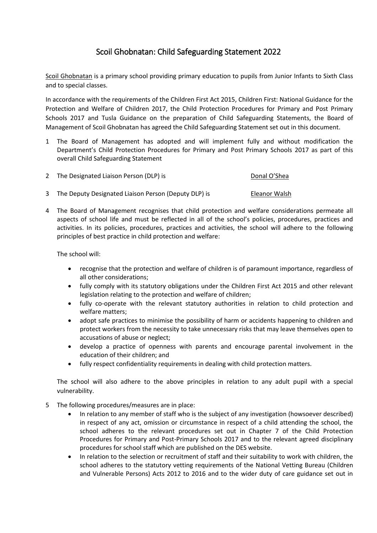## Scoil Ghobnatan: Child Safeguarding Statement 2022

Scoil Ghobnatan is a primary school providing primary education to pupils from Junior Infants to Sixth Class and to special classes.

In accordance with the requirements of the Children First Act 2015, Children First: National Guidance for the Protection and Welfare of Children 2017, the Child Protection Procedures for Primary and Post Primary Schools 2017 and Tusla Guidance on the preparation of Child Safeguarding Statements, the Board of Management of Scoil Ghobnatan has agreed the Child Safeguarding Statement set out in this document.

- 1 The Board of Management has adopted and will implement fully and without modification the Department's Child Protection Procedures for Primary and Post Primary Schools 2017 as part of this overall Child Safeguarding Statement
- 2 The Designated Liaison Person (DLP) is Contact the Donal O'Shea
- 3 The Deputy Designated Liaison Person (Deputy DLP) is Eleanor Walsh
- 4 The Board of Management recognises that child protection and welfare considerations permeate all aspects of school life and must be reflected in all of the school's policies, procedures, practices and activities. In its policies, procedures, practices and activities, the school will adhere to the following principles of best practice in child protection and welfare:

The school will:

- recognise that the protection and welfare of children is of paramount importance, regardless of all other considerations;
- fully comply with its statutory obligations under the Children First Act 2015 and other relevant legislation relating to the protection and welfare of children;
- fully co-operate with the relevant statutory authorities in relation to child protection and welfare matters;
- adopt safe practices to minimise the possibility of harm or accidents happening to children and protect workers from the necessity to take unnecessary risks that may leave themselves open to accusations of abuse or neglect;
- develop a practice of openness with parents and encourage parental involvement in the education of their children; and
- fully respect confidentiality requirements in dealing with child protection matters.

The school will also adhere to the above principles in relation to any adult pupil with a special vulnerability.

- 5 The following procedures/measures are in place:
	- In relation to any member of staff who is the subject of any investigation (howsoever described) in respect of any act, omission or circumstance in respect of a child attending the school, the school adheres to the relevant procedures set out in Chapter 7 of the Child Protection Procedures for Primary and Post-Primary Schools 2017 and to the relevant agreed disciplinary procedures for school staff which are published on the DES website.
	- In relation to the selection or recruitment of staff and their suitability to work with children, the school adheres to the statutory vetting requirements of the National Vetting Bureau (Children and Vulnerable Persons) Acts 2012 to 2016 and to the wider duty of care guidance set out in